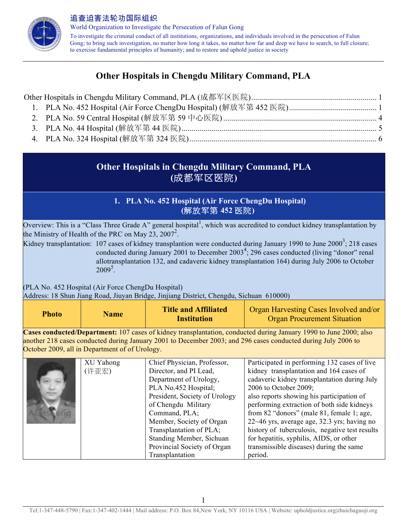

World Organization to Investigate the Persecution of Falun Gong To investigate the criminal conduct of all institutions, organizations, and individuals involved in the persecution of Falun Gong; to bring such investigation, no matter how long it takes, no matter how far and deep we have to search, to full closure; to exercise fundamental principles of humanity; and to restore and uphold justice in society

# **Other Hospitals in Chengdu Military Command, PLA**

## **Other Hospitals in Chengdu Military Command, PLA (**成都军区医院**)**

## **1. PLA No. 452 Hospital (Air Force ChengDu Hospital) (**解放军第 **452** 医院**)**

Overview: This is a "Class Three Grade A" general hospital<sup>1</sup>, which was accredited to conduct kidney transplantation by the Ministry of Health of the PRC on May 23, 2007<sup>2</sup>.

Kidney transplantation: 107 cases of kidney transplantion were conducted during January 1990 to June 2000<sup>3</sup>; 218 cases conducted during January 2001 to December  $2003<sup>4</sup>$ ; 296 cases conducted (living "donor" renal allotransplantation 132, and cadaveric kidney transplantation 164) during July 2006 to October  $2009^5$ .

(PLA No. 452 Hospital (Air Force ChengDu Hospital)

Address: 18 Shun Jiang Road, Jiuyan Bridge, Jinjiang District, Chengdu, Sichuan 610000)

| Photo | <b>Name</b> | <b>Title and Affiliated</b><br><b>Institution</b> | Organ Harvesting Cases Involved and/or<br><b>Organ Procurement Situation</b> |
|-------|-------------|---------------------------------------------------|------------------------------------------------------------------------------|
|-------|-------------|---------------------------------------------------|------------------------------------------------------------------------------|

**Cases conducted/Department:** 107 cases of kidney transplantation, conducted during January 1990 to June 2000; also another 218 cases conducted during January 2001 to December 2003; and 296 cases conducted during July 2006 to October 2009, all in Department of of Urology.

| XU Yahong | Chief Physician, Professor,   | Participated in performing 132 cases of live   |
|-----------|-------------------------------|------------------------------------------------|
| (许亚宏)     | Director, and PI Lead,        | kidney transplantation and 164 cases of        |
|           | Department of Urology,        | cadaveric kidney transplantation during July   |
|           | PLA No.452 Hospital;          | 2006 to October 2009;                          |
|           | President, Society of Urology | also reports showing his participation of      |
|           | of Chengdu Military           | performing extraction of both side kidneys     |
|           | Command, PLA;                 | from 82 "donors" (male 81, female 1; age,      |
|           | Member, Society of Organ      | $22~-46$ yrs, average age, 32.3 yrs; having no |
|           | Transplantation of PLA;       | history of tuberculosis, negative test results |
|           | Standing Member, Sichuan      | for hepatitis, syphilis, AIDS, or other        |
|           | Provincial Society of Organ   | transmissible diseases) during the same        |
|           | Transplantation               | period.                                        |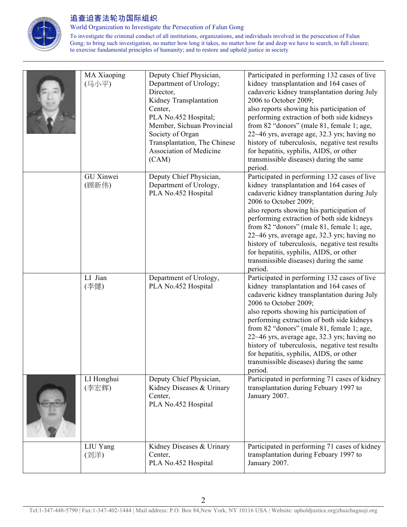

World Organization to Investigate the Persecution of Falun Gong

To investigate the criminal conduct of all institutions, organizations, and individuals involved in the persecution of Falun Gong; to bring such investigation, no matter how long it takes, no matter how far and deep we have to search, to full closure; to exercise fundamental principles of humanity; and to restore and uphold justice in society

| MA Xiaoping<br>(马小平) | Deputy Chief Physician,<br>Department of Urology;<br>Director,<br>Kidney Transplantation<br>Center,<br>PLA No.452 Hospital;<br>Member, Sichuan Provincial<br>Society of Organ<br>Transplantation, The Chinese<br>Association of Medicine<br>(CAM) | Participated in performing 132 cases of live<br>kidney transplantation and 164 cases of<br>cadaveric kidney transplantation during July<br>2006 to October 2009;<br>also reports showing his participation of<br>performing extraction of both side kidneys<br>from 82 "donors" (male 81, female 1; age,<br>22~46 yrs, average age, 32.3 yrs; having no<br>history of tuberculosis, negative test results<br>for hepatitis, syphilis, AIDS, or other<br>transmissible diseases) during the same<br>period. |
|----------------------|---------------------------------------------------------------------------------------------------------------------------------------------------------------------------------------------------------------------------------------------------|------------------------------------------------------------------------------------------------------------------------------------------------------------------------------------------------------------------------------------------------------------------------------------------------------------------------------------------------------------------------------------------------------------------------------------------------------------------------------------------------------------|
| GU Xinwei<br>(顾新伟)   | Deputy Chief Physician,<br>Department of Urology,<br>PLA No.452 Hospital                                                                                                                                                                          | Participated in performing 132 cases of live<br>kidney transplantation and 164 cases of<br>cadaveric kidney transplantation during July<br>2006 to October 2009;<br>also reports showing his participation of<br>performing extraction of both side kidneys<br>from 82 "donors" (male 81, female 1; age,<br>22~46 yrs, average age, 32.3 yrs; having no<br>history of tuberculosis, negative test results<br>for hepatitis, syphilis, AIDS, or other<br>transmissible diseases) during the same<br>period. |
| LI Jian<br>(李健)      | Department of Urology,<br>PLA No.452 Hospital                                                                                                                                                                                                     | Participated in performing 132 cases of live<br>kidney transplantation and 164 cases of<br>cadaveric kidney transplantation during July<br>2006 to October 2009;<br>also reports showing his participation of<br>performing extraction of both side kidneys<br>from 82 "donors" (male 81, female 1; age,<br>22~46 yrs, average age, 32.3 yrs; having no<br>history of tuberculosis, negative test results<br>for hepatitis, syphilis, AIDS, or other<br>transmissible diseases) during the same<br>period. |
| LI Honghui<br>(李宏辉)  | Deputy Chief Physician,<br>Kidney Diseases & Urinary<br>Center,<br>PLA No.452 Hospital                                                                                                                                                            | Participated in performing 71 cases of kidney<br>transplantation during Febuary 1997 to<br>January 2007.                                                                                                                                                                                                                                                                                                                                                                                                   |
| LIU Yang<br>(刘洋)     | Kidney Diseases & Urinary<br>Center,<br>PLA No.452 Hospital                                                                                                                                                                                       | Participated in performing 71 cases of kidney<br>transplantation during Febuary 1997 to<br>January 2007.                                                                                                                                                                                                                                                                                                                                                                                                   |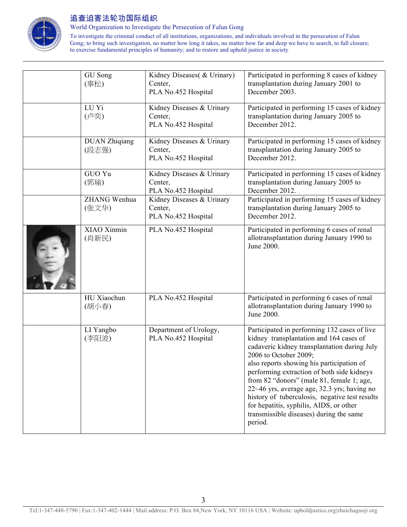

World Organization to Investigate the Persecution of Falun Gong

To investigate the criminal conduct of all institutions, organizations, and individuals involved in the persecution of Falun Gong; to bring such investigation, no matter how long it takes, no matter how far and deep we have to search, to full closure; to exercise fundamental principles of humanity; and to restore and uphold justice in society

| GU Song<br>(辜松)               | Kidney Diseases( & Urinary)<br>Center,<br>PLA No.452 Hospital | Participated in performing 8 cases of kidney<br>transplantation during January 2001 to<br>December 2003.                                                                                                                                                                                                                                                                                                                                                                                                   |
|-------------------------------|---------------------------------------------------------------|------------------------------------------------------------------------------------------------------------------------------------------------------------------------------------------------------------------------------------------------------------------------------------------------------------------------------------------------------------------------------------------------------------------------------------------------------------------------------------------------------------|
| LU Yi<br>(卢奕)                 | Kidney Diseases & Urinary<br>Center,<br>PLA No.452 Hospital   | Participated in performing 15 cases of kidney<br>transplantation during January 2005 to<br>December 2012.                                                                                                                                                                                                                                                                                                                                                                                                  |
| <b>DUAN Zhiqiang</b><br>(段志强) | Kidney Diseases & Urinary<br>Center,<br>PLA No.452 Hospital   | Participated in performing 15 cases of kidney<br>transplantation during January 2005 to<br>December 2012.                                                                                                                                                                                                                                                                                                                                                                                                  |
| GUO Yu<br>(郭瑜)                | Kidney Diseases & Urinary<br>Center,<br>PLA No.452 Hospital   | Participated in performing 15 cases of kidney<br>transplantation during January 2005 to<br>December 2012.                                                                                                                                                                                                                                                                                                                                                                                                  |
| ZHANG Wenhua<br>(张文华)         | Kidney Diseases & Urinary<br>Center,<br>PLA No.452 Hospital   | Participated in performing 15 cases of kidney<br>transplantation during January 2005 to<br>December 2012.                                                                                                                                                                                                                                                                                                                                                                                                  |
| XIAO Xinmin<br>(肖新民)          | PLA No.452 Hospital                                           | Participated in performing 6 cases of renal<br>allotransplantation during January 1990 to<br>June 2000.                                                                                                                                                                                                                                                                                                                                                                                                    |
| HU Xiaochun<br>(胡小春)          | PLA No.452 Hospital                                           | Participated in performing 6 cases of renal<br>allotransplantation during January 1990 to<br>June 2000.                                                                                                                                                                                                                                                                                                                                                                                                    |
| LI Yangbo<br>(李阳波)            | Department of Urology,<br>PLA No.452 Hospital                 | Participated in performing 132 cases of live<br>kidney transplantation and 164 cases of<br>cadaveric kidney transplantation during July<br>2006 to October 2009;<br>also reports showing his participation of<br>performing extraction of both side kidneys<br>from 82 "donors" (male 81, female 1; age,<br>22~46 yrs, average age, 32.3 yrs; having no<br>history of tuberculosis, negative test results<br>for hepatitis, syphilis, AIDS, or other<br>transmissible diseases) during the same<br>period. |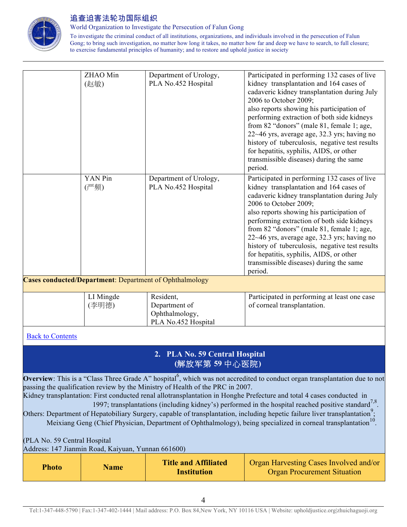

World Organization to Investigate the Persecution of Falun Gong

To investigate the criminal conduct of all institutions, organizations, and individuals involved in the persecution of Falun Gong; to bring such investigation, no matter how long it takes, no matter how far and deep we have to search, to full closure; to exercise fundamental principles of humanity; and to restore and uphold justice in society

|                                                                | ZHAO Min  | Department of Urology, | Participated in performing 132 cases of live   |  |  |
|----------------------------------------------------------------|-----------|------------------------|------------------------------------------------|--|--|
|                                                                | (赵敏)      | PLA No.452 Hospital    | kidney transplantation and 164 cases of        |  |  |
|                                                                |           |                        | cadaveric kidney transplantation during July   |  |  |
|                                                                |           |                        | 2006 to October 2009;                          |  |  |
|                                                                |           |                        | also reports showing his participation of      |  |  |
|                                                                |           |                        | performing extraction of both side kidneys     |  |  |
|                                                                |           |                        | from 82 "donors" (male 81, female 1; age,      |  |  |
|                                                                |           |                        | 22~46 yrs, average age, 32.3 yrs; having no    |  |  |
|                                                                |           |                        | history of tuberculosis, negative test results |  |  |
|                                                                |           |                        | for hepatitis, syphilis, AIDS, or other        |  |  |
|                                                                |           |                        | transmissible diseases) during the same        |  |  |
|                                                                |           |                        | period.                                        |  |  |
|                                                                | YAN Pin   | Department of Urology, | Participated in performing 132 cases of live   |  |  |
|                                                                | (严频)      | PLA No.452 Hospital    | kidney transplantation and 164 cases of        |  |  |
|                                                                |           |                        | cadaveric kidney transplantation during July   |  |  |
|                                                                |           |                        | 2006 to October 2009;                          |  |  |
|                                                                |           |                        | also reports showing his participation of      |  |  |
|                                                                |           |                        | performing extraction of both side kidneys     |  |  |
|                                                                |           |                        | from 82 "donors" (male 81, female 1; age,      |  |  |
|                                                                |           |                        | 22~46 yrs, average age, 32.3 yrs; having no    |  |  |
|                                                                |           |                        | history of tuberculosis, negative test results |  |  |
|                                                                |           |                        | for hepatitis, syphilis, AIDS, or other        |  |  |
|                                                                |           |                        | transmissible diseases) during the same        |  |  |
|                                                                |           |                        | period.                                        |  |  |
| <b>Cases conducted/Department:</b> Department of Ophthalmology |           |                        |                                                |  |  |
|                                                                | LI Mingde | Resident,              | Participated in performing at least one case   |  |  |
|                                                                | (李明德)     | Department of          | of corneal transplantation.                    |  |  |
|                                                                |           | Ophthalmology,         |                                                |  |  |
|                                                                |           | PLA No.452 Hospital    |                                                |  |  |
| <b>Back to Contents</b>                                        |           |                        |                                                |  |  |
|                                                                |           |                        |                                                |  |  |
|                                                                |           |                        |                                                |  |  |

### **2. PLA No. 59 Central Hospital (**解放军第 **59** 中心医院**)**

**Overview**: This is a "Class Three Grade A" hospital<sup>6</sup>, which was not accredited to conduct organ transplantation due to not passing the qualification review by the Ministry of Health of the PRC in 2007.

Kidney transplantation: First conducted renal allotransplantation in Honghe Prefecture and total 4 cases conducted in 1997; transplantations (including kidney's) performed in the hospital reached positive standard<sup>7,8</sup>.

Others: Department of Hepatobiliary Surgery, capable of transplantation, including hepetic failure liver transplantation<sup>9</sup>; Meixiang Geng (Chief Physician, Department of Ophthalmology), being specialized in corneal transplantation<sup>10</sup>.

(PLA No. 59 Central Hospital

Address: 147 Jianmin Road, Kaiyuan, Yunnan 661600)

| <b>Photo</b> | <b>Name</b> | <b>Title and Affiliated</b><br><b>Institution</b> | Organ Harvesting Cases Involved and/or<br><b>Organ Procurement Situation</b> |
|--------------|-------------|---------------------------------------------------|------------------------------------------------------------------------------|
|--------------|-------------|---------------------------------------------------|------------------------------------------------------------------------------|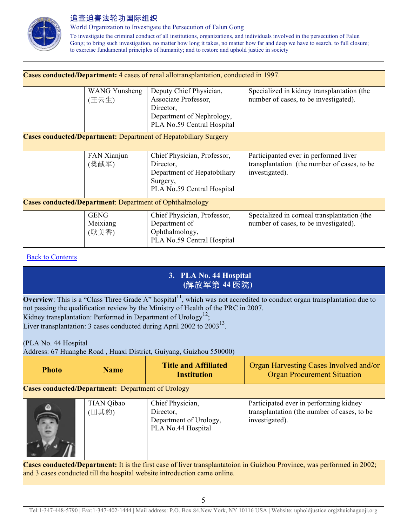

World Organization to Investigate the Persecution of Falun Gong

To investigate the criminal conduct of all institutions, organizations, and individuals involved in the persecution of Falun Gong; to bring such investigation, no matter how long it takes, no matter how far and deep we have to search, to full closure; to exercise fundamental principles of humanity; and to restore and uphold justice in society

| Cases conducted/Department: 4 cases of renal allotransplantation, conducted in 1997.                                                                                                                                                                                                                                                                                                           |                                                                |                                                                                                                         |                                                                                                         |  |  |
|------------------------------------------------------------------------------------------------------------------------------------------------------------------------------------------------------------------------------------------------------------------------------------------------------------------------------------------------------------------------------------------------|----------------------------------------------------------------|-------------------------------------------------------------------------------------------------------------------------|---------------------------------------------------------------------------------------------------------|--|--|
|                                                                                                                                                                                                                                                                                                                                                                                                | <b>WANG Yunsheng</b><br>(王云生)                                  | Deputy Chief Physician,<br>Associate Professor,<br>Director,<br>Department of Nephrology,<br>PLA No.59 Central Hospital | Specialized in kidney transplantation (the<br>number of cases, to be investigated).                     |  |  |
|                                                                                                                                                                                                                                                                                                                                                                                                |                                                                | <b>Cases conducted/Department:</b> Department of Hepatobiliary Surgery                                                  |                                                                                                         |  |  |
|                                                                                                                                                                                                                                                                                                                                                                                                | FAN Xianjun<br>(樊献军)                                           | Chief Physician, Professor,<br>Director,<br>Department of Hepatobiliary<br>Surgery,<br>PLA No.59 Central Hospital       | Participanted ever in performed liver<br>transplantation (the number of cases, to be<br>investigated).  |  |  |
|                                                                                                                                                                                                                                                                                                                                                                                                | <b>Cases conducted/Department:</b> Department of Ophthalmology |                                                                                                                         |                                                                                                         |  |  |
|                                                                                                                                                                                                                                                                                                                                                                                                | <b>GENG</b><br>Meixiang<br>(耿美香)                               | Chief Physician, Professor,<br>Department of<br>Ophthalmology,<br>PLA No.59 Central Hospital                            | Specialized in corneal transplantation (the<br>number of cases, to be investigated).                    |  |  |
| <b>Back to Contents</b>                                                                                                                                                                                                                                                                                                                                                                        |                                                                |                                                                                                                         |                                                                                                         |  |  |
|                                                                                                                                                                                                                                                                                                                                                                                                |                                                                | 3. PLA No. 44 Hospital<br>(解放军第44医院)                                                                                    |                                                                                                         |  |  |
| <b>Overview</b> : This is a "Class Three Grade A" hospital <sup>11</sup> , which was not accredited to conduct organ transplantation due to<br>not passing the qualification review by the Ministry of Health of the PRC in 2007.<br>Kidney transplantation: Performed in Department of Urology <sup>12</sup> ;<br>Liver transplantation: 3 cases conducted during April 2002 to $2003^{13}$ . |                                                                |                                                                                                                         |                                                                                                         |  |  |
| (PLA No. 44 Hospital                                                                                                                                                                                                                                                                                                                                                                           |                                                                | Address: 67 Huanghe Road, Huaxi District, Guiyang, Guizhou 550000)                                                      |                                                                                                         |  |  |
| <b>Photo</b>                                                                                                                                                                                                                                                                                                                                                                                   | <b>Name</b>                                                    | <b>Title and Affiliated</b><br><b>Institution</b>                                                                       | Organ Harvesting Cases Involved and/or<br><b>Organ Procurement Situation</b>                            |  |  |
| <b>Cases conducted/Department:</b> Department of Urology                                                                                                                                                                                                                                                                                                                                       |                                                                |                                                                                                                         |                                                                                                         |  |  |
|                                                                                                                                                                                                                                                                                                                                                                                                | <b>TIAN Qibao</b><br>(田其豹)                                     | Chief Physician,<br>Director,<br>Department of Urology,<br>PLA No.44 Hospital                                           | Participated ever in performing kidney<br>transplantation (the number of cases, to be<br>investigated). |  |  |
| Cases conducted/Department: It is the first case of liver transplantatoion in Guizhou Province, was performed in 2002;<br>and 3 cases conducted till the hospital website introduction came online.                                                                                                                                                                                            |                                                                |                                                                                                                         |                                                                                                         |  |  |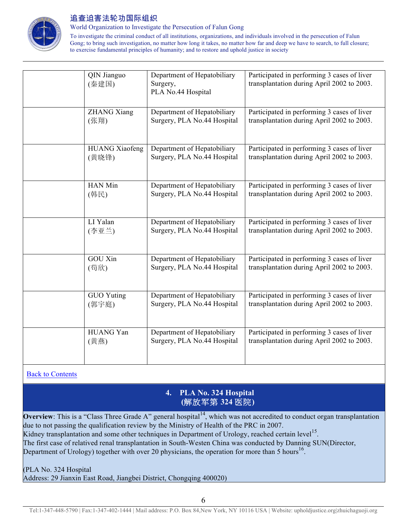

World Organization to Investigate the Persecution of Falun Gong

To investigate the criminal conduct of all institutions, organizations, and individuals involved in the persecution of Falun Gong; to bring such investigation, no matter how long it takes, no matter how far and deep we have to search, to full closure; to exercise fundamental principles of humanity; and to restore and uphold justice in society

| QIN Jianguo<br>(秦建国)  | Department of Hepatobiliary<br>Surgery,<br>PLA No.44 Hospital | Participated in performing 3 cases of liver<br>transplantation during April 2002 to 2003. |
|-----------------------|---------------------------------------------------------------|-------------------------------------------------------------------------------------------|
| <b>ZHANG Xiang</b>    | Department of Hepatobiliary                                   | Participated in performing 3 cases of liver                                               |
| (张翔)                  | Surgery, PLA No.44 Hospital                                   | transplantation during April 2002 to 2003.                                                |
| <b>HUANG Xiaofeng</b> | Department of Hepatobiliary                                   | Participated in performing 3 cases of liver                                               |
| (黄晓锋)                 | Surgery, PLA No.44 Hospital                                   | transplantation during April 2002 to 2003.                                                |
| HAN Min               | Department of Hepatobiliary                                   | Participated in performing 3 cases of liver                                               |
| (韩民)                  | Surgery, PLA No.44 Hospital                                   | transplantation during April 2002 to 2003.                                                |
| LI Yalan              | Department of Hepatobiliary                                   | Participated in performing 3 cases of liver                                               |
| (李亚兰)                 | Surgery, PLA No.44 Hospital                                   | transplantation during April 2002 to 2003.                                                |
| <b>GOU Xin</b>        | Department of Hepatobiliary                                   | Participated in performing 3 cases of liver                                               |
| (苟欣)                  | Surgery, PLA No.44 Hospital                                   | transplantation during April 2002 to 2003.                                                |
| <b>GUO Yuting</b>     | Department of Hepatobiliary                                   | Participated in performing 3 cases of liver                                               |
| (郭宇庭)                 | Surgery, PLA No.44 Hospital                                   | transplantation during April 2002 to 2003.                                                |
| HUANG Yan             | Department of Hepatobiliary                                   | Participated in performing 3 cases of liver                                               |
| (黄燕)                  | Surgery, PLA No.44 Hospital                                   | transplantation during April 2002 to 2003.                                                |

Back to Contents

## **4. PLA No. 324 Hospital (**解放军第 **324** 医院**)**

**Overview**: This is a "Class Three Grade A" general hospital<sup>14</sup>, which was not accredited to conduct organ transplantation due to not passing the qualification review by the Ministry of Health of the PRC in 2007. Kidney transplantation and some other techniques in Department of Urology, reached certain level<sup>15</sup>. The first case of relatived renal transplantation in South-Westen China was conducted by Danning SUN(Director, Department of Urology) together with over 20 physicians, the operation for more than 5 hours<sup>16</sup>.

(PLA No. 324 Hospital

Address: 29 Jianxin East Road, Jiangbei District, Chongqing 400020)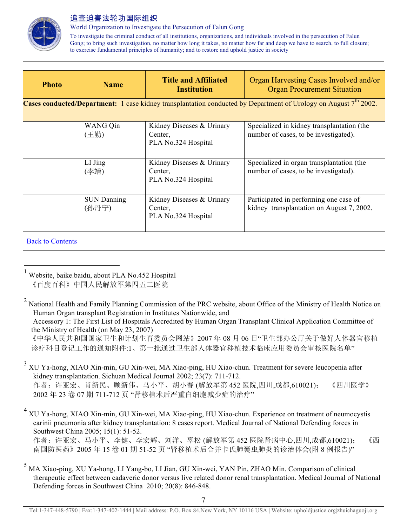

World Organization to Investigate the Persecution of Falun Gong

To investigate the criminal conduct of all institutions, organizations, and individuals involved in the persecution of Falun Gong; to bring such investigation, no matter how long it takes, no matter how far and deep we have to search, to full closure; to exercise fundamental principles of humanity; and to restore and uphold justice in society

| <b>Photo</b>            | <b>Name</b>                 | <b>Title and Affiliated</b><br><b>Institution</b>           | Organ Harvesting Cases Involved and/or<br><b>Organ Procurement Situation</b>                                              |  |
|-------------------------|-----------------------------|-------------------------------------------------------------|---------------------------------------------------------------------------------------------------------------------------|--|
|                         |                             |                                                             | <b>Cases conducted/Department:</b> 1 case kidney transplantation conducted by Department of Urology on August $7th$ 2002. |  |
|                         | WANG Qin<br>(王勤)            | Kidney Diseases & Urinary<br>Center.<br>PLA No.324 Hospital | Specialized in kidney transplantation (the<br>number of cases, to be investigated).                                       |  |
|                         | $LI$ Jing<br>(李靖)           | Kidney Diseases & Urinary<br>Center.<br>PLA No.324 Hospital | Specialized in organ transplantation (the<br>number of cases, to be investigated).                                        |  |
|                         | <b>SUN Danning</b><br>(孙丹宁) | Kidney Diseases & Urinary<br>Center.<br>PLA No.324 Hospital | Participated in performing one case of<br>kidney transplantation on August 7, 2002.                                       |  |
| <b>Back to Contents</b> |                             |                                                             |                                                                                                                           |  |

 1 Website, baike.baidu, about PLA No.452 Hospital 《百度百科》中国人民解放军第四五二医院

 《中华人民共和国国家卫生和计划生育委员会网站》2007 年 08 月 06 日"卫生部办公厅关于做好人体器官移植 诊疗科目登记工作的通知附件:1、第一批通过卫生部人体器官移植技术临床应用委员会审核医院名单"

作者: 许亚宏、肖新民、顾新伟、马小平、胡小春 (解放军第 452 医院,四川,成都,610021); 《四川医学》 2002 年 23 卷 07 期 711-712 页 "肾移植术后严重白细胞减少症的治疗"

<sup>4</sup> XU Ya-hong, XIAO Xin-min, GU Xin-wei, MA Xiao-ping, HU Xiao-chun. Experience on treatment of neumocystis carinii pneumonia after kidney transplantation: 8 cases report. Medical Journal of National Defending forces in Southwest China 2005; 15(1): 51-52.

作者: 许亚宏、马小平、李健、李宏辉、刘洋、辜松 (解放军第 452 医院肾病中心,四川,成都,610021); 《西 南国防医药》2005 年 15 卷 01 期 51-52 页 "肾移植术后合并卡氏肺囊虫肺炎的诊治体会(附 8 例报告)"

<sup>&</sup>lt;sup>2</sup> National Health and Family Planning Commission of the PRC website, about Office of the Ministry of Health Notice on Human Organ transplant Registration in Institutes Nationwide, and

Accessory 1: The First List of Hospitals Accredited by Human Organ Transplant Clinical Application Committee of the Ministry of Health (on May 23, 2007)

<sup>3</sup> XU Ya-hong, XIAO Xin-min, GU Xin-wei, MA Xiao-ping, HU Xiao-chun. Treatment for severe leucopenia after kidney transplantation. Sichuan Medical Journal 2002; 23(7): 711-712.

<sup>5</sup> MA Xiao-ping, XU Ya-hong, LI Yang-bo, LI Jian, GU Xin-wei, YAN Pin, ZHAO Min. Comparison of clinical therapeutic effect between cadaveric donor versus live related donor renal transplantation. Medical Journal of National Defending forces in Southwest China 2010; 20(8): 846-848.